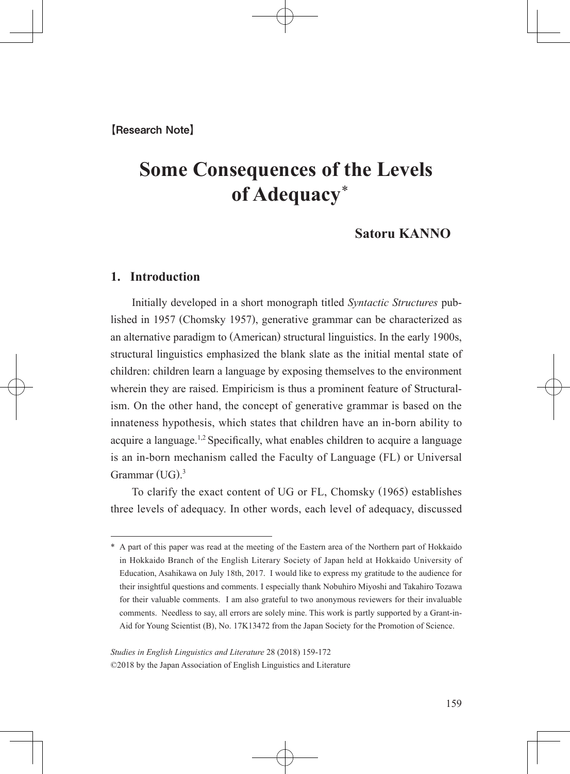# **Some Consequences of the Levels of Adequacy** \*

# **Satoru KANNO**

# **1. Introduction**

 Initially developed in a short monograph titled *Syntactic Structures* published in 1957 (Chomsky 1957), generative grammar can be characterized as an alternative paradigm to (American) structural linguistics. In the early 1900s, structural linguistics emphasized the blank slate as the initial mental state of children: children learn a language by exposing themselves to the environment wherein they are raised. Empiricism is thus a prominent feature of Structuralism. On the other hand, the concept of generative grammar is based on the innateness hypothesis, which states that children have an in-born ability to acquire a language.<sup>1,2</sup> Specifically, what enables children to acquire a language is an in-born mechanism called the Faculty of Language (FL) or Universal Grammar (UG). 3

 To clarify the exact content of UG or FL, Chomsky (1965) establishes three levels of adequacy. In other words, each level of adequacy, discussed

<sup>\*</sup> A part of this paper was read at the meeting of the Eastern area of the Northern part of Hokkaido in Hokkaido Branch of the English Literary Society of Japan held at Hokkaido University of Education, Asahikawa on July 18th, 2017. I would like to express my gratitude to the audience for their insightful questions and comments. I especially thank Nobuhiro Miyoshi and Takahiro Tozawa for their valuable comments. I am also grateful to two anonymous reviewers for their invaluable comments. Needless to say, all errors are solely mine. This work is partly supported by a Grant-in-Aid for Young Scientist (B), No. 17K13472 from the Japan Society for the Promotion of Science.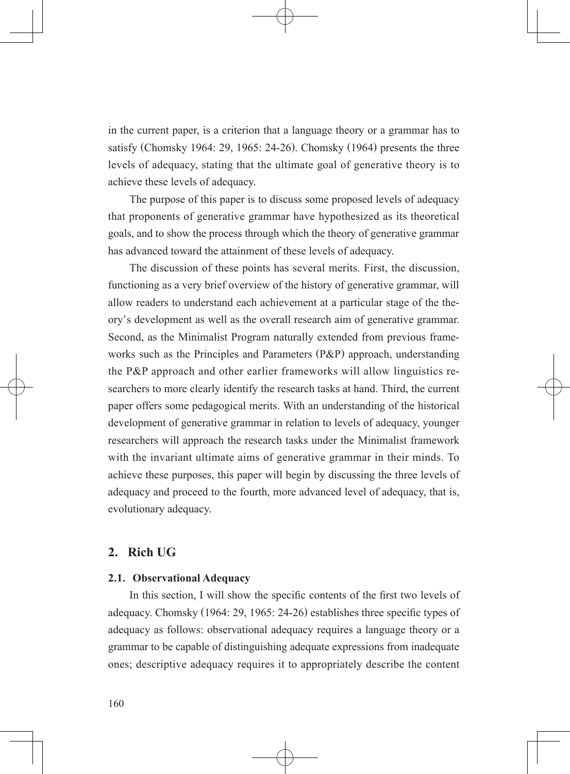in the current paper, is a criterion that a language theory or a grammar has to satisfy (Chomsky 1964: 29, 1965: 24-26). Chomsky (1964) presents the three levels of adequacy, stating that the ultimate goal of generative theory is to achieve these levels of adequacy.

 The purpose of this paper is to discuss some proposed levels of adequacy that proponents of generative grammar have hypothesized as its theoretical goals, and to show the process through which the theory of generative grammar has advanced toward the attainment of these levels of adequacy.

 The discussion of these points has several merits. First, the discussion, functioning as a very brief overview of the history of generative grammar, will allow readers to understand each achievement at a particular stage of the theory's development as well as the overall research aim of generative grammar. Second, as the Minimalist Program naturally extended from previous frameworks such as the Principles and Parameters (P&P) approach, understanding the P&P approach and other earlier frameworks will allow linguistics researchers to more clearly identify the research tasks at hand. Third, the current paper offers some pedagogical merits. With an understanding of the historical development of generative grammar in relation to levels of adequacy, younger researchers will approach the research tasks under the Minimalist framework with the invariant ultimate aims of generative grammar in their minds. To achieve these purposes, this paper will begin by discussing the three levels of adequacy and proceed to the fourth, more advanced level of adequacy, that is, evolutionary adequacy.

## **2. Rich UG**

## **2.1. Observational Adequacy**

In this section, I will show the specific contents of the first two levels of adequacy. Chomsky (1964: 29, 1965: 24-26) establishes three specific types of  adequacy as follows: observational adequacy requires a language theory or a grammar to be capable of distinguishing adequate expressions from inadequate ones; descriptive adequacy requires it to appropriately describe the content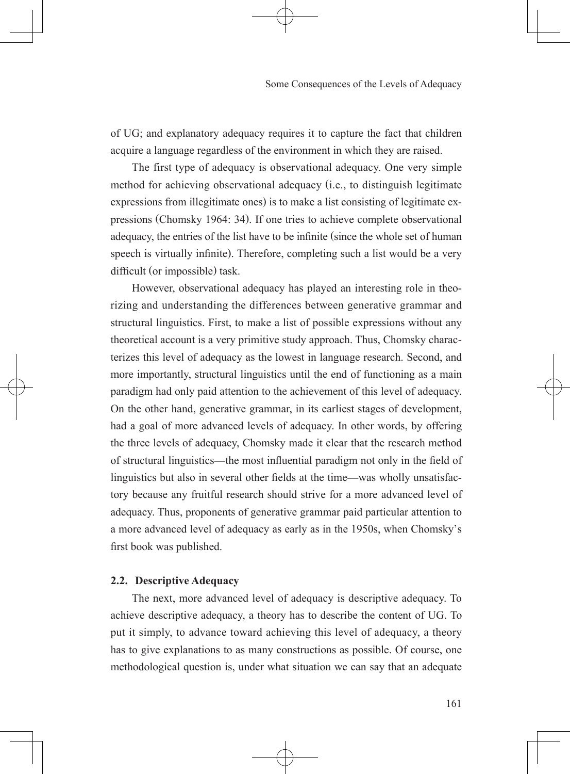of UG; and explanatory adequacy requires it to capture the fact that children acquire a language regardless of the environment in which they are raised.

 The first type of adequacy is observational adequacy. One very simple method for achieving observational adequacy (i.e., to distinguish legitimate expressions from illegitimate ones) is to make a list consisting of legitimate expressions (Chomsky 1964: 34). If one tries to achieve complete observational adequacy, the entries of the list have to be infinite (since the whole set of human speech is virtually infinite). Therefore, completing such a list would be a very difficult (or impossible) task.

 However, observational adequacy has played an interesting role in theorizing and understanding the differences between generative grammar and structural linguistics. First, to make a list of possible expressions without any theoretical account is a very primitive study approach. Thus, Chomsky characterizes this level of adequacy as the lowest in language research. Second, and more importantly, structural linguistics until the end of functioning as a main paradigm had only paid attention to the achievement of this level of adequacy. On the other hand, generative grammar, in its earliest stages of development, had a goal of more advanced levels of adequacy. In other words, by offering the three levels of adequacy, Chomsky made it clear that the research method of structural linguistics—the most influential paradigm not only in the field of  linguistics but also in several other fields at the time—was wholly unsatisfactory because any fruitful research should strive for a more advanced level of adequacy. Thus, proponents of generative grammar paid particular attention to a more advanced level of adequacy as early as in the 1950s, when Chomsky's first book was published. 

## **2.2. Descriptive Adequacy**

 The next, more advanced level of adequacy is descriptive adequacy. To achieve descriptive adequacy, a theory has to describe the content of UG. To put it simply, to advance toward achieving this level of adequacy, a theory has to give explanations to as many constructions as possible. Of course, one methodological question is, under what situation we can say that an adequate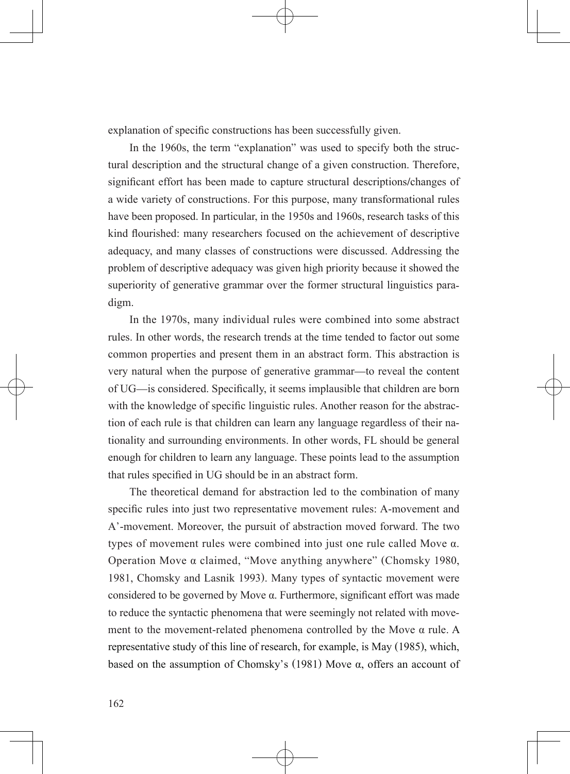explanation of specific constructions has been successfully given.

 In the 1960s, the term "explanation" was used to specify both the structural description and the structural change of a given construction. Therefore, significant effort has been made to capture structural descriptions/changes of a wide variety of constructions. For this purpose, many transformational rules have been proposed. In particular, in the 1950s and 1960s, research tasks of this kind flourished: many researchers focused on the achievement of descriptive  adequacy, and many classes of constructions were discussed. Addressing the problem of descriptive adequacy was given high priority because it showed the superiority of generative grammar over the former structural linguistics paradigm.

 In the 1970s, many individual rules were combined into some abstract rules. In other words, the research trends at the time tended to factor out some common properties and present them in an abstract form. This abstraction is very natural when the purpose of generative grammar—to reveal the content of UG—is considered. Specifically, it seems implausible that children are born  with the knowledge of specific linguistic rules. Another reason for the abstraction of each rule is that children can learn any language regardless of their nationality and surrounding environments. In other words, FL should be general enough for children to learn any language. These points lead to the assumption that rules specified in UG should be in an abstract form. 

 The theoretical demand for abstraction led to the combination of many specific rules into just two representative movement rules: A-movement and A'-movement. Moreover, the pursuit of abstraction moved forward. The two types of movement rules were combined into just one rule called Move α. Operation Move α claimed, "Move anything anywhere" (Chomsky 1980, 1981, Chomsky and Lasnik 1993). Many types of syntactic movement were considered to be governed by Move α. Furthermore, significant effort was made  to reduce the syntactic phenomena that were seemingly not related with movement to the movement-related phenomena controlled by the Move α rule. A representative study of this line of research, for example, is May (1985), which, based on the assumption of Chomsky's (1981) Move  $\alpha$ , offers an account of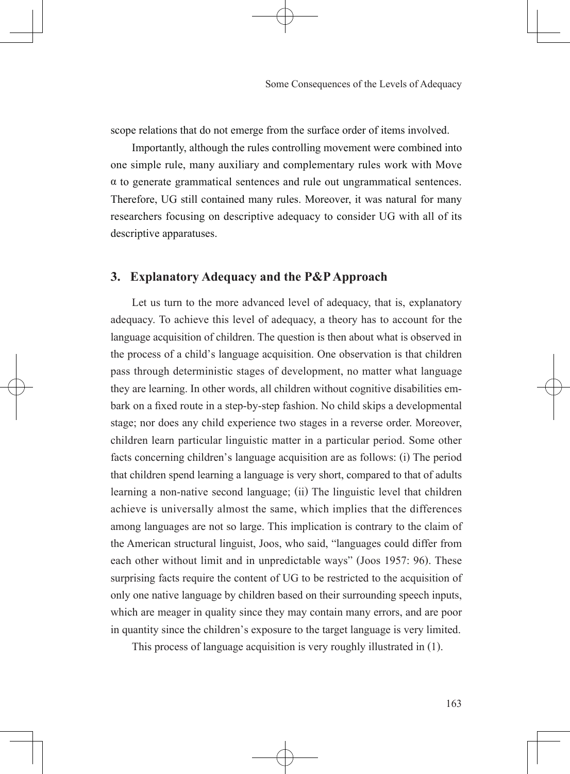scope relations that do not emerge from the surface order of items involved.

 Importantly, although the rules controlling movement were combined into one simple rule, many auxiliary and complementary rules work with Move α to generate grammatical sentences and rule out ungrammatical sentences. Therefore, UG still contained many rules. Moreover, it was natural for many researchers focusing on descriptive adequacy to consider UG with all of its descriptive apparatuses.

# **3. Explanatory Adequacy and the P&P Approach**

 Let us turn to the more advanced level of adequacy, that is, explanatory adequacy. To achieve this level of adequacy, a theory has to account for the language acquisition of children. The question is then about what is observed in the process of a child's language acquisition. One observation is that children pass through deterministic stages of development, no matter what language they are learning. In other words, all children without cognitive disabilities embark on a fixed route in a step-by-step fashion. No child skips a developmental  stage; nor does any child experience two stages in a reverse order. Moreover, children learn particular linguistic matter in a particular period. Some other facts concerning children's language acquisition are as follows: (i) The period that children spend learning a language is very short, compared to that of adults learning a non-native second language; (ii) The linguistic level that children achieve is universally almost the same, which implies that the differences among languages are not so large. This implication is contrary to the claim of the American structural linguist, Joos, who said, "languages could differ from each other without limit and in unpredictable ways" (Joos 1957: 96). These surprising facts require the content of UG to be restricted to the acquisition of only one native language by children based on their surrounding speech inputs, which are meager in quality since they may contain many errors, and are poor in quantity since the children's exposure to the target language is very limited.

This process of language acquisition is very roughly illustrated in (1).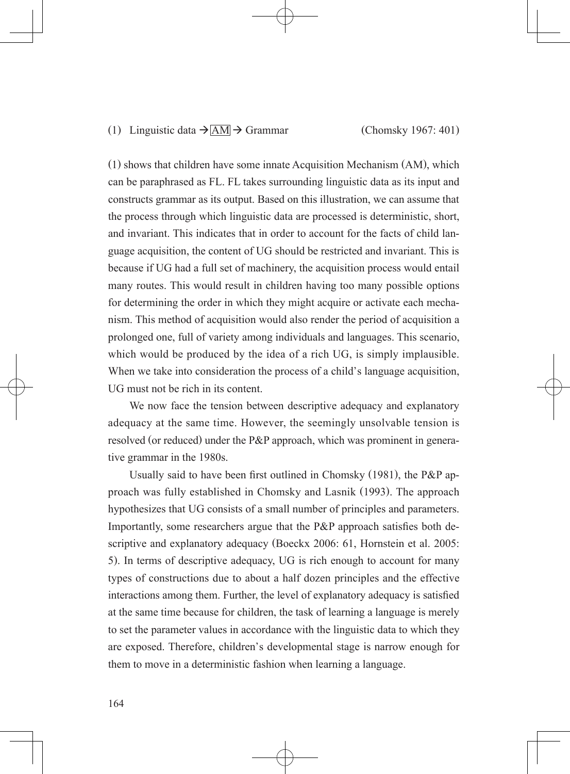## (1) Linguistic data  $\rightarrow$  AM  $\rightarrow$  Grammar (Chomsky 1967: 401)

(1) shows that children have some innate Acquisition Mechanism (AM), which can be paraphrased as FL. FL takes surrounding linguistic data as its input and constructs grammar as its output. Based on this illustration, we can assume that the process through which linguistic data are processed is deterministic, short, and invariant. This indicates that in order to account for the facts of child language acquisition, the content of UG should be restricted and invariant. This is because if UG had a full set of machinery, the acquisition process would entail many routes. This would result in children having too many possible options for determining the order in which they might acquire or activate each mechanism. This method of acquisition would also render the period of acquisition a prolonged one, full of variety among individuals and languages. This scenario, which would be produced by the idea of a rich UG, is simply implausible. When we take into consideration the process of a child's language acquisition, UG must not be rich in its content.

We now face the tension between descriptive adequacy and explanatory adequacy at the same time. However, the seemingly unsolvable tension is resolved (or reduced) under the P&P approach, which was prominent in generative grammar in the 1980s.

  Usually said to have been first outlined in Chomsky (1981), the P&P approach was fully established in Chomsky and Lasnik (1993). The approach hypothesizes that UG consists of a small number of principles and parameters. Importantly, some researchers argue that the P&P approach satisfies both descriptive and explanatory adequacy (Boeckx 2006: 61, Hornstein et al. 2005: 5). In terms of descriptive adequacy, UG is rich enough to account for many types of constructions due to about a half dozen principles and the effective interactions among them. Further, the level of explanatory adequacy is satisfied  at the same time because for children, the task of learning a language is merely to set the parameter values in accordance with the linguistic data to which they are exposed. Therefore, children's developmental stage is narrow enough for them to move in a deterministic fashion when learning a language.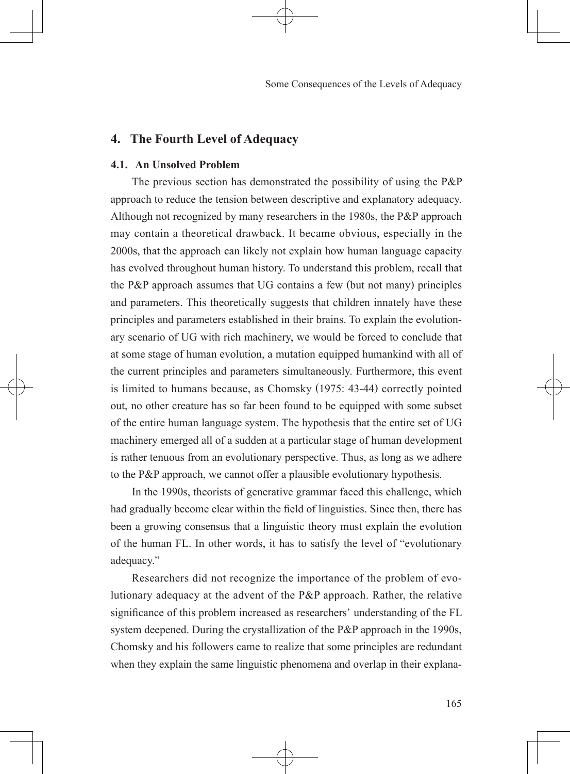# **4. The Fourth Level of Adequacy**

## **4.1. An Unsolved Problem**

 The previous section has demonstrated the possibility of using the P&P approach to reduce the tension between descriptive and explanatory adequacy. Although not recognized by many researchers in the 1980s, the P&P approach may contain a theoretical drawback. It became obvious, especially in the 2000s, that the approach can likely not explain how human language capacity has evolved throughout human history. To understand this problem, recall that the P&P approach assumes that UG contains a few (but not many) principles and parameters. This theoretically suggests that children innately have these principles and parameters established in their brains. To explain the evolutionary scenario of UG with rich machinery, we would be forced to conclude that at some stage of human evolution, a mutation equipped humankind with all of the current principles and parameters simultaneously. Furthermore, this event is limited to humans because, as Chomsky (1975: 43-44) correctly pointed out, no other creature has so far been found to be equipped with some subset of the entire human language system. The hypothesis that the entire set of UG machinery emerged all of a sudden at a particular stage of human development is rather tenuous from an evolutionary perspective. Thus, as long as we adhere to the P&P approach, we cannot offer a plausible evolutionary hypothesis.

 In the 1990s, theorists of generative grammar faced this challenge, which had gradually become clear within the field of linguistics. Since then, there has  been a growing consensus that a linguistic theory must explain the evolution of the human FL. In other words, it has to satisfy the level of "evolutionary adequacy."

 Researchers did not recognize the importance of the problem of evolutionary adequacy at the advent of the P&P approach. Rather, the relative significance of this problem increased as researchers' understanding of the FL system deepened. During the crystallization of the P&P approach in the 1990s, Chomsky and his followers came to realize that some principles are redundant when they explain the same linguistic phenomena and overlap in their explana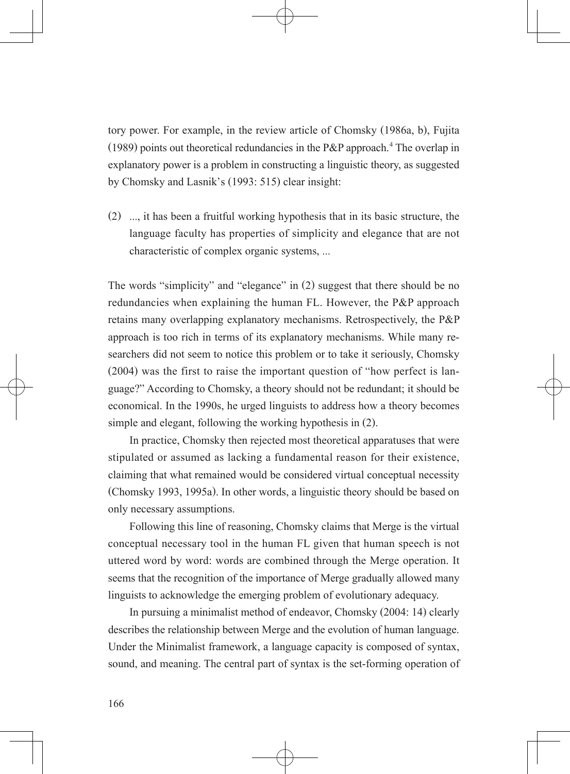tory power. For example, in the review article of Chomsky (1986a, b), Fujita (1989) points out theoretical redundancies in the P&P approach.<sup>4</sup> The overlap in explanatory power is a problem in constructing a linguistic theory, as suggested by Chomsky and Lasnik's (1993: 515) clear insight:

(2) …, it has been a fruitful working hypothesis that in its basic structure, the language faculty has properties of simplicity and elegance that are not characteristic of complex organic systems, …

The words "simplicity" and "elegance" in (2) suggest that there should be no redundancies when explaining the human FL. However, the P&P approach retains many overlapping explanatory mechanisms. Retrospectively, the P&P approach is too rich in terms of its explanatory mechanisms. While many researchers did not seem to notice this problem or to take it seriously, Chomsky (2004) was the first to raise the important question of "how perfect is language?" According to Chomsky, a theory should not be redundant; it should be economical. In the 1990s, he urged linguists to address how a theory becomes simple and elegant, following the working hypothesis in (2).

 In practice, Chomsky then rejected most theoretical apparatuses that were stipulated or assumed as lacking a fundamental reason for their existence, claiming that what remained would be considered virtual conceptual necessity (Chomsky 1993, 1995a). In other words, a linguistic theory should be based on only necessary assumptions.

 Following this line of reasoning, Chomsky claims that Merge is the virtual conceptual necessary tool in the human FL given that human speech is not uttered word by word: words are combined through the Merge operation. It seems that the recognition of the importance of Merge gradually allowed many linguists to acknowledge the emerging problem of evolutionary adequacy.

 In pursuing a minimalist method of endeavor, Chomsky (2004: 14) clearly describes the relationship between Merge and the evolution of human language. Under the Minimalist framework, a language capacity is composed of syntax, sound, and meaning. The central part of syntax is the set-forming operation of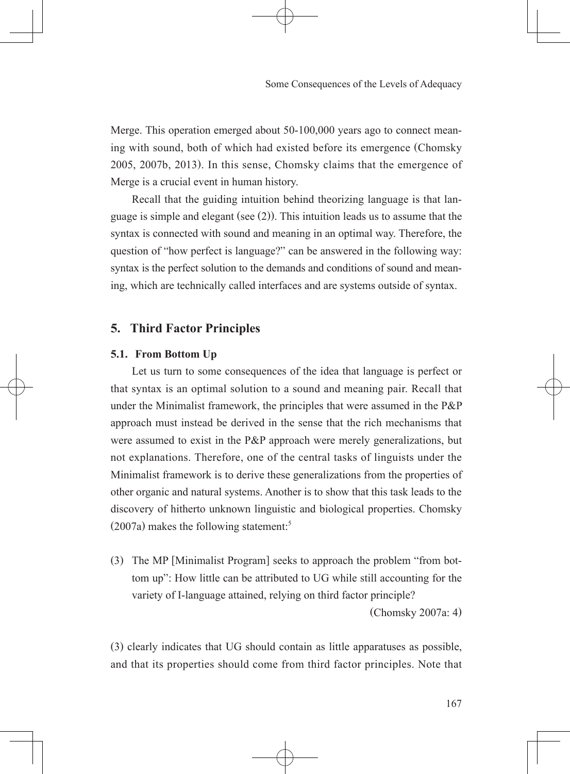Merge. This operation emerged about 50-100,000 years ago to connect meaning with sound, both of which had existed before its emergence (Chomsky 2005, 2007b, 2013). In this sense, Chomsky claims that the emergence of Merge is a crucial event in human history.

 Recall that the guiding intuition behind theorizing language is that language is simple and elegant (see (2)). This intuition leads us to assume that the syntax is connected with sound and meaning in an optimal way. Therefore, the question of "how perfect is language?" can be answered in the following way: syntax is the perfect solution to the demands and conditions of sound and meaning, which are technically called interfaces and are systems outside of syntax.

# **5. Third Factor Principles**

## **5.1. From Bottom Up**

 Let us turn to some consequences of the idea that language is perfect or that syntax is an optimal solution to a sound and meaning pair. Recall that under the Minimalist framework, the principles that were assumed in the P&P approach must instead be derived in the sense that the rich mechanisms that were assumed to exist in the P&P approach were merely generalizations, but not explanations. Therefore, one of the central tasks of linguists under the Minimalist framework is to derive these generalizations from the properties of other organic and natural systems. Another is to show that this task leads to the discovery of hitherto unknown linguistic and biological properties. Chomsky  $(2007a)$  makes the following statement:<sup>5</sup>

(3) The MP [Minimalist Program] seeks to approach the problem "from bottom up": How little can be attributed to UG while still accounting for the variety of I-language attained, relying on third factor principle?

(Chomsky 2007a: 4)

(3) clearly indicates that UG should contain as little apparatuses as possible, and that its properties should come from third factor principles. Note that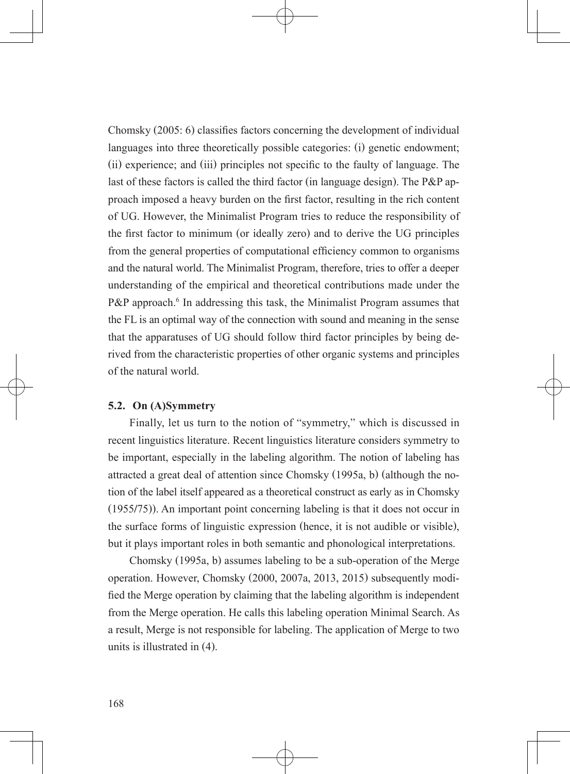Chomsky (2005: 6) classifies factors concerning the development of individual  languages into three theoretically possible categories: (i) genetic endowment; (ii) experience; and (iii) principles not specific to the faulty of language. The  last of these factors is called the third factor (in language design). The P&P approach imposed a heavy burden on the first factor, resulting in the rich content  of UG. However, the Minimalist Program tries to reduce the responsibility of the first factor to minimum (or ideally zero) and to derive the UG principles from the general properties of computational efficiency common to organisms  and the natural world. The Minimalist Program, therefore, tries to offer a deeper understanding of the empirical and theoretical contributions made under the P&P approach.<sup>6</sup> In addressing this task, the Minimalist Program assumes that the FL is an optimal way of the connection with sound and meaning in the sense that the apparatuses of UG should follow third factor principles by being derived from the characteristic properties of other organic systems and principles of the natural world.

## **5.2. On (A)Symmetry**

 Finally, let us turn to the notion of "symmetry," which is discussed in recent linguistics literature. Recent linguistics literature considers symmetry to be important, especially in the labeling algorithm. The notion of labeling has attracted a great deal of attention since Chomsky (1995a, b) (although the notion of the label itself appeared as a theoretical construct as early as in Chomsky (1955/75)). An important point concerning labeling is that it does not occur in the surface forms of linguistic expression (hence, it is not audible or visible), but it plays important roles in both semantic and phonological interpretations.

 Chomsky (1995a, b) assumes labeling to be a sub-operation of the Merge operation. However, Chomsky (2000, 2007a, 2013, 2015) subsequently modified the Merge operation by claiming that the labeling algorithm is independent  from the Merge operation. He calls this labeling operation Minimal Search. As a result, Merge is not responsible for labeling. The application of Merge to two units is illustrated in (4).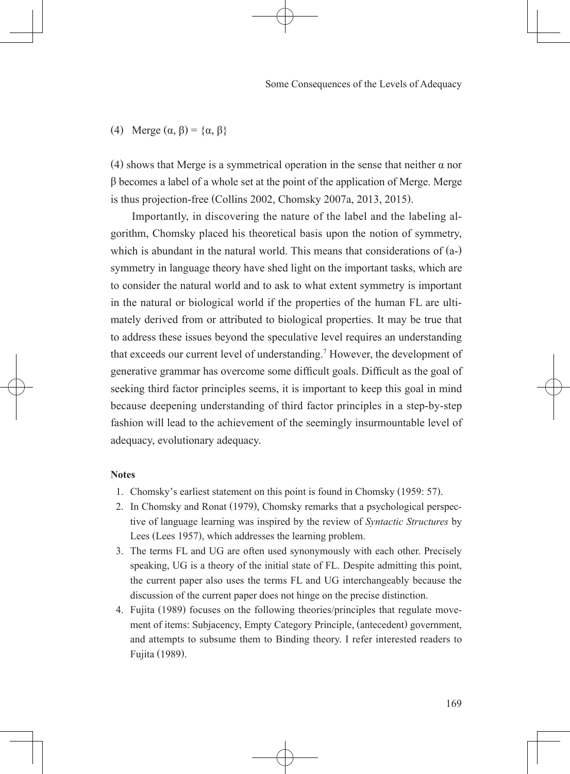(4) Merge  $(\alpha, \beta) = {\alpha, \beta}$ 

(4) shows that Merge is a symmetrical operation in the sense that neither  $\alpha$  nor β becomes a label of a whole set at the point of the application of Merge. Merge is thus projection-free (Collins 2002, Chomsky 2007a, 2013, 2015).

 Importantly, in discovering the nature of the label and the labeling algorithm, Chomsky placed his theoretical basis upon the notion of symmetry, which is abundant in the natural world. This means that considerations of  $(a-)$ symmetry in language theory have shed light on the important tasks, which are to consider the natural world and to ask to what extent symmetry is important in the natural or biological world if the properties of the human FL are ultimately derived from or attributed to biological properties. It may be true that to address these issues beyond the speculative level requires an understanding that exceeds our current level of understanding.<sup>7</sup> However, the development of generative grammar has overcome some difficult goals. Difficult as the goal of  seeking third factor principles seems, it is important to keep this goal in mind because deepening understanding of third factor principles in a step-by-step fashion will lead to the achievement of the seemingly insurmountable level of adequacy, evolutionary adequacy.

## **Notes**

- 1. Chomsky's earliest statement on this point is found in Chomsky (1959: 57).
- 2. In Chomsky and Ronat (1979), Chomsky remarks that a psychological perspective of language learning was inspired by the review of *Syntactic Structures* by Lees (Lees 1957), which addresses the learning problem.
- 3. The terms FL and UG are often used synonymously with each other. Precisely speaking, UG is a theory of the initial state of FL. Despite admitting this point, the current paper also uses the terms FL and UG interchangeably because the discussion of the current paper does not hinge on the precise distinction.
- 4. Fujita (1989) focuses on the following theories/principles that regulate movement of items: Subjacency, Empty Category Principle, (antecedent) government, and attempts to subsume them to Binding theory. I refer interested readers to Fujita (1989).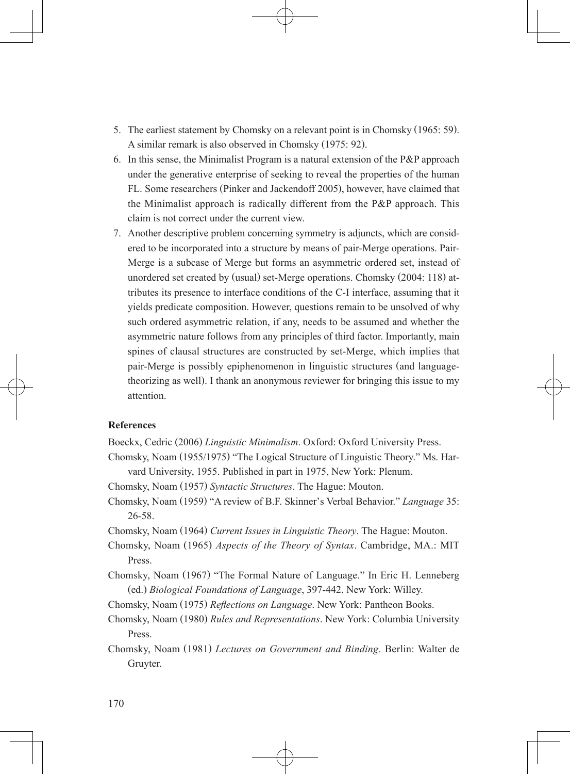- 5. The earliest statement by Chomsky on a relevant point is in Chomsky (1965: 59). A similar remark is also observed in Chomsky (1975: 92).
- 6. In this sense, the Minimalist Program is a natural extension of the P&P approach under the generative enterprise of seeking to reveal the properties of the human FL. Some researchers (Pinker and Jackendoff 2005), however, have claimed that the Minimalist approach is radically different from the P&P approach. This claim is not correct under the current view.
- 7. Another descriptive problem concerning symmetry is adjuncts, which are considered to be incorporated into a structure by means of pair-Merge operations. Pair-Merge is a subcase of Merge but forms an asymmetric ordered set, instead of unordered set created by (usual) set-Merge operations. Chomsky (2004: 118) attributes its presence to interface conditions of the C-I interface, assuming that it yields predicate composition. However, questions remain to be unsolved of why such ordered asymmetric relation, if any, needs to be assumed and whether the asymmetric nature follows from any principles of third factor. Importantly, main spines of clausal structures are constructed by set-Merge, which implies that pair-Merge is possibly epiphenomenon in linguistic structures (and languagetheorizing as well). I thank an anonymous reviewer for bringing this issue to my attention.

## **References**

Boeckx, Cedric (2006) *Linguistic Minimalism*. Oxford: Oxford University Press.

- Chomsky, Noam (1955/1975) "The Logical Structure of Linguistic Theory." Ms. Harvard University, 1955. Published in part in 1975, New York: Plenum.
- Chomsky, Noam (1957) *Syntactic Structures*. The Hague: Mouton.
- Chomsky, Noam (1959) "A review of B.F. Skinner's Verbal Behavior." *Language* 35: 26-58.
- Chomsky, Noam (1964) *Current Issues in Linguistic Theory*. The Hague: Mouton.
- Chomsky, Noam (1965) *Aspects of the Theory of Syntax*. Cambridge, MA.: MIT Press.
- Chomsky, Noam (1967) "The Formal Nature of Language." In Eric H. Lenneberg (ed.) *Biological Foundations of Language*, 397-442. New York: Willey.
- Chomsky, Noam (1975) *Reflections on Language*. New York: Pantheon Books.
- Chomsky, Noam (1980) *Rules and Representations*. New York: Columbia University Press.
- Chomsky, Noam (1981) *Lectures on Government and Binding*. Berlin: Walter de Gruyter.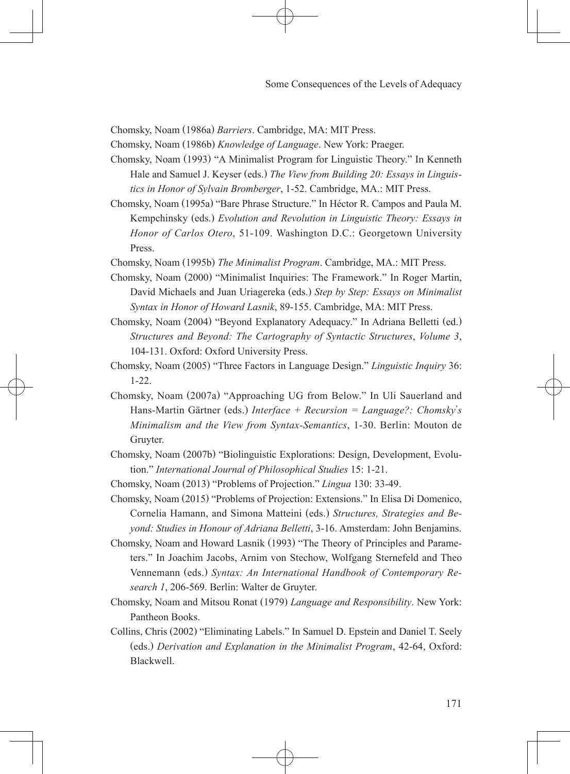Chomsky, Noam (1986a) *Barriers*. Cambridge, MA: MIT Press.

Chomsky, Noam (1986b) *Knowledge of Language*. New York: Praeger.

- Chomsky, Noam (1993) "A Minimalist Program for Linguistic Theory." In Kenneth Hale and Samuel J. Keyser (eds.) *The View from Building 20: Essays in Linguistics in Honor of Sylvain Bromberger*, 1-52. Cambridge, MA.: MIT Press.
- Chomsky, Noam (1995a) "Bare Phrase Structure." In Héctor R. Campos and Paula M. Kempchinsky (eds.) *Evolution and Revolution in Linguistic Theory: Essays in Honor of Carlos Otero*, 51-109. Washington D.C.: Georgetown University Press.
- Chomsky, Noam (1995b) *The Minimalist Program*. Cambridge, MA.: MIT Press.
- Chomsky, Noam (2000) "Minimalist Inquiries: The Framework." In Roger Martin, David Michaels and Juan Uriagereka (eds.) *Step by Step: Essays on Minimalist Syntax in Honor of Howard Lasnik*, 89-155. Cambridge, MA: MIT Press.
- Chomsky, Noam (2004) "Beyond Explanatory Adequacy." In Adriana Belletti (ed.) *Structures and Beyond: The Cartography of Syntactic Structures*, *Volume 3*, 104-131. Oxford: Oxford University Press.
- Chomsky, Noam (2005) "Three Factors in Language Design." *Linguistic Inquiry* 36: 1-22.
- Chomsky, Noam (2007a) "Approaching UG from Below." In Uli Sauerland and Hans-Martin Gärtner (eds.) *Interface + Recursion = Language?: Chomsky*'*s Minimalism and the View from Syntax-Semantics*, 1-30. Berlin: Mouton de Gruyter.
- Chomsky, Noam (2007b) "Biolinguistic Explorations: Design, Development, Evolution." *International Journal of Philosophical Studies* 15: 1-21.
- Chomsky, Noam (2013) "Problems of Projection." *Lingua* 130: 33-49.
- Chomsky, Noam (2015) "Problems of Projection: Extensions." In Elisa Di Domenico, Cornelia Hamann, and Simona Matteini (eds.) *Structures, Strategies and Beyond: Studies in Honour of Adriana Belletti*, 3-16. Amsterdam: John Benjamins.
- Chomsky, Noam and Howard Lasnik (1993) "The Theory of Principles and Parameters." In Joachim Jacobs, Arnim von Stechow, Wolfgang Sternefeld and Theo Vennemann (eds.) *Syntax: An International Handbook of Contemporary Research 1*, 206-569. Berlin: Walter de Gruyter.
- Chomsky, Noam and Mitsou Ronat (1979) *Language and Responsibility*. New York: Pantheon Books.
- Collins, Chris (2002) "Eliminating Labels." In Samuel D. Epstein and Daniel T. Seely (eds.) *Derivation and Explanation in the Minimalist Program*, 42-64, Oxford: Blackwell.